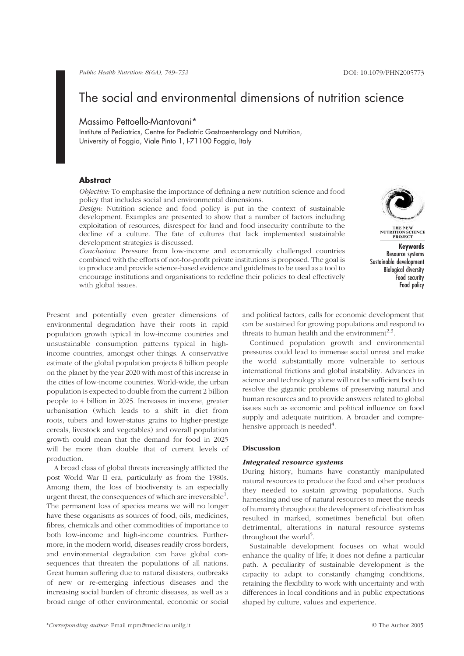# The social and environmental dimensions of nutrition science

## Massimo Pettoello-Mantovani\*

Institute of Pediatrics, Centre for Pediatric Gastroenterology and Nutrition, University of Foggia, Viale Pinto 1, I-71100 Foggia, Italy

## Abstract

Objective: To emphasise the importance of defining a new nutrition science and food policy that includes social and environmental dimensions.

Design: Nutrition science and food policy is put in the context of sustainable development. Examples are presented to show that a number of factors including exploitation of resources, disrespect for land and food insecurity contribute to the decline of a culture. The fate of cultures that lack implemented sustainable development strategies is discussed.

Conclusion: Pressure from low-income and economically challenged countries combined with the efforts of not-for-profit private institutions is proposed. The goal is to produce and provide science-based evidence and guidelines to be used as a tool to encourage institutions and organisations to redefine their policies to deal effectively with global issues.



Keywords Resource systems Sustainable development Biological diversity Food security Food policy

Present and potentially even greater dimensions of environmental degradation have their roots in rapid population growth typical in low-income countries and unsustainable consumption patterns typical in highincome countries, amongst other things. A conservative estimate of the global population projects 8 billion people on the planet by the year 2020 with most of this increase in the cities of low-income countries. World-wide, the urban population is expected to double from the current 2 billion people to 4 billion in 2025. Increases in income, greater urbanisation (which leads to a shift in diet from roots, tubers and lower-status grains to higher-prestige cereals, livestock and vegetables) and overall population growth could mean that the demand for food in 2025 will be more than double that of current levels of production.

A broad class of global threats increasingly afflicted the post World War II era, particularly as from the 1980s. Among them, the loss of biodiversity is an especially urgent threat, the consequences of which are irreversible $^1$ . The permanent loss of species means we will no longer have these organisms as sources of food, oils, medicines, fibres, chemicals and other commodities of importance to both low-income and high-income countries. Furthermore, in the modern world, diseases readily cross borders, and environmental degradation can have global consequences that threaten the populations of all nations. Great human suffering due to natural disasters, outbreaks of new or re-emerging infectious diseases and the increasing social burden of chronic diseases, as well as a broad range of other environmental, economic or social

and political factors, calls for economic development that can be sustained for growing populations and respond to threats to human health and the environment<sup>2,3</sup>.

Continued population growth and environmental pressures could lead to immense social unrest and make the world substantially more vulnerable to serious international frictions and global instability. Advances in science and technology alone will not be sufficient both to resolve the gigantic problems of preserving natural and human resources and to provide answers related to global issues such as economic and political influence on food supply and adequate nutrition. A broader and comprehensive approach is needed<sup>4</sup>.

## Discussion

#### Integrated resource systems

During history, humans have constantly manipulated natural resources to produce the food and other products they needed to sustain growing populations. Such harnessing and use of natural resources to meet the needs of humanity throughout the development of civilisation has resulted in marked, sometimes beneficial but often detrimental, alterations in natural resource systems throughout the world<sup>5</sup>.

Sustainable development focuses on what would enhance the quality of life; it does not define a particular path. A peculiarity of sustainable development is the capacity to adapt to constantly changing conditions, retaining the flexibility to work with uncertainty and with differences in local conditions and in public expectations shaped by culture, values and experience.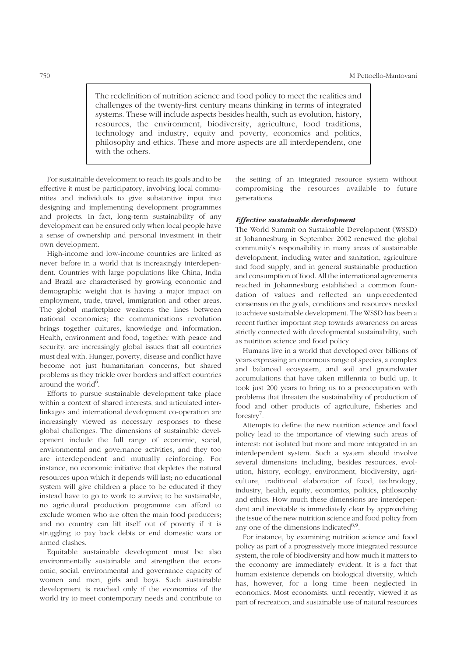The redefinition of nutrition science and food policy to meet the realities and challenges of the twenty-first century means thinking in terms of integrated systems. These will include aspects besides health, such as evolution, history, resources, the environment, biodiversity, agriculture, food traditions, technology and industry, equity and poverty, economics and politics, philosophy and ethics. These and more aspects are all interdependent, one with the others.

For sustainable development to reach its goals and to be effective it must be participatory, involving local communities and individuals to give substantive input into designing and implementing development programmes and projects. In fact, long-term sustainability of any development can be ensured only when local people have a sense of ownership and personal investment in their own development.

High-income and low-income countries are linked as never before in a world that is increasingly interdependent. Countries with large populations like China, India and Brazil are characterised by growing economic and demographic weight that is having a major impact on employment, trade, travel, immigration and other areas. The global marketplace weakens the lines between national economies; the communications revolution brings together cultures, knowledge and information. Health, environment and food, together with peace and security, are increasingly global issues that all countries must deal with. Hunger, poverty, disease and conflict have become not just humanitarian concerns, but shared problems as they trickle over borders and affect countries around the world $6$ .

Efforts to pursue sustainable development take place within a context of shared interests, and articulated interlinkages and international development co-operation are increasingly viewed as necessary responses to these global challenges. The dimensions of sustainable development include the full range of economic, social, environmental and governance activities, and they too are interdependent and mutually reinforcing. For instance, no economic initiative that depletes the natural resources upon which it depends will last; no educational system will give children a place to be educated if they instead have to go to work to survive; to be sustainable, no agricultural production programme can afford to exclude women who are often the main food producers; and no country can lift itself out of poverty if it is struggling to pay back debts or end domestic wars or armed clashes.

Equitable sustainable development must be also environmentally sustainable and strengthen the economic, social, environmental and governance capacity of women and men, girls and boys. Such sustainable development is reached only if the economies of the world try to meet contemporary needs and contribute to the setting of an integrated resource system without compromising the resources available to future generations.

## Effective sustainable development

The World Summit on Sustainable Development (WSSD) at Johannesburg in September 2002 renewed the global community's responsibility in many areas of sustainable development, including water and sanitation, agriculture and food supply, and in general sustainable production and consumption of food. All the international agreements reached in Johannesburg established a common foundation of values and reflected an unprecedented consensus on the goals, conditions and resources needed to achieve sustainable development. The WSSD has been a recent further important step towards awareness on areas strictly connected with developmental sustainability, such as nutrition science and food policy.

Humans live in a world that developed over billions of years expressing an enormous range of species, a complex and balanced ecosystem, and soil and groundwater accumulations that have taken millennia to build up. It took just 200 years to bring us to a preoccupation with problems that threaten the sustainability of production of food and other products of agriculture, fisheries and forestry<sup>7</sup>.

Attempts to define the new nutrition science and food policy lead to the importance of viewing such areas of interest: not isolated but more and more integrated in an interdependent system. Such a system should involve several dimensions including, besides resources, evolution, history, ecology, environment, biodiversity, agriculture, traditional elaboration of food, technology, industry, health, equity, economics, politics, philosophy and ethics. How much these dimensions are interdependent and inevitable is immediately clear by approaching the issue of the new nutrition science and food policy from any one of the dimensions indicated $8.9$ .

For instance, by examining nutrition science and food policy as part of a progressively more integrated resource system, the role of biodiversity and how much it matters to the economy are immediately evident. It is a fact that human existence depends on biological diversity, which has, however, for a long time been neglected in economics. Most economists, until recently, viewed it as part of recreation, and sustainable use of natural resources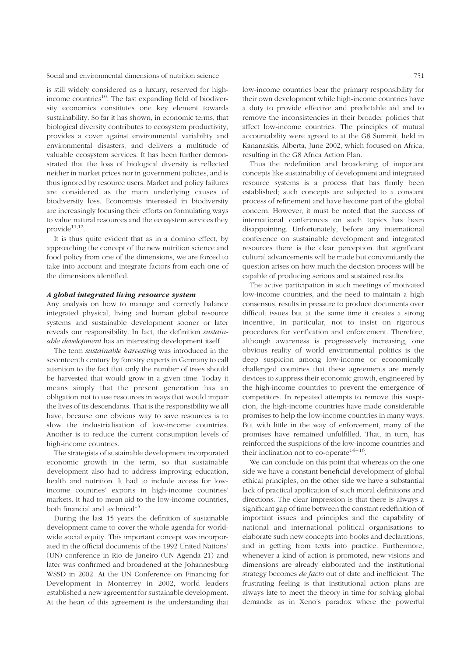Social and environmental dimensions of nutrition science 751

is still widely considered as a luxury, reserved for highincome countries $^{10}$ . The fast expanding field of biodiversity economics constitutes one key element towards sustainability. So far it has shown, in economic terms, that biological diversity contributes to ecosystem productivity, provides a cover against environmental variability and environmental disasters, and delivers a multitude of valuable ecosystem services. It has been further demonstrated that the loss of biological diversity is reflected neither in market prices nor in government policies, and is thus ignored by resource users. Market and policy failures are considered as the main underlying causes of biodiversity loss. Economists interested in biodiversity are increasingly focusing their efforts on formulating ways to value natural resources and the ecosystem services they  $provide<sup>11,12</sup>$ .

It is thus quite evident that as in a domino effect, by approaching the concept of the new nutrition science and food policy from one of the dimensions, we are forced to take into account and integrate factors from each one of the dimensions identified.

## A global integrated living resource system

Any analysis on how to manage and correctly balance integrated physical, living and human global resource systems and sustainable development sooner or later reveals our responsibility. In fact, the definition sustainable development has an interesting development itself.

The term sustainable harvesting was introduced in the seventeenth century by forestry experts in Germany to call attention to the fact that only the number of trees should be harvested that would grow in a given time. Today it means simply that the present generation has an obligation not to use resources in ways that would impair the lives of its descendants. That is the responsibility we all have, because one obvious way to save resources is to slow the industrialisation of low-income countries. Another is to reduce the current consumption levels of high-income countries.

The strategists of sustainable development incorporated economic growth in the term, so that sustainable development also had to address improving education, health and nutrition. It had to include access for lowincome countries' exports in high-income countries' markets. It had to mean aid to the low-income countries, both financial and technical $13$ .

During the last 15 years the definition of sustainable development came to cover the whole agenda for worldwide social equity. This important concept was incorporated in the official documents of the 1992 United Nations' (UN) conference in Rio de Janeiro (UN Agenda 21) and later was confirmed and broadened at the Johannesburg WSSD in 2002. At the UN Conference on Financing for Development in Monterrey in 2002, world leaders established a new agreement for sustainable development. At the heart of this agreement is the understanding that

low-income countries bear the primary responsibility for their own development while high-income countries have a duty to provide effective and predictable aid and to remove the inconsistencies in their broader policies that affect low-income countries. The principles of mutual accountability were agreed to at the G8 Summit, held in Kananaskis, Alberta, June 2002, which focused on Africa, resulting in the G8 Africa Action Plan.

Thus the redefinition and broadening of important concepts like sustainability of development and integrated resource systems is a process that has firmly been established; such concepts are subjected to a constant process of refinement and have become part of the global concern. However, it must be noted that the success of international conferences on such topics has been disappointing. Unfortunately, before any international conference on sustainable development and integrated resources there is the clear perception that significant cultural advancements will be made but concomitantly the question arises on how much the decision process will be capable of producing serious and sustained results.

The active participation in such meetings of motivated low-income countries, and the need to maintain a high consensus, results in pressure to produce documents over difficult issues but at the same time it creates a strong incentive, in particular, not to insist on rigorous procedures for verification and enforcement. Therefore, although awareness is progressively increasing, one obvious reality of world environmental politics is the deep suspicion among low-income or economically challenged countries that these agreements are merely devices to suppress their economic growth, engineered by the high-income countries to prevent the emergence of competitors. In repeated attempts to remove this suspicion, the high-income countries have made considerable promises to help the low-income countries in many ways. But with little in the way of enforcement, many of the promises have remained unfulfilled. That, in turn, has reinforced the suspicions of the low-income countries and their inclination not to co-operate  $14-16$ .

We can conclude on this point that whereas on the one side we have a constant beneficial development of global ethical principles, on the other side we have a substantial lack of practical application of such moral definitions and directions. The clear impression is that there is always a significant gap of time between the constant redefinition of important issues and principles and the capability of national and international political organisations to elaborate such new concepts into books and declarations, and in getting from texts into practice. Furthermore, whenever a kind of action is promoted, new visions and dimensions are already elaborated and the institutional strategy becomes de facto out of date and inefficient. The frustrating feeling is that institutional action plans are always late to meet the theory in time for solving global demands; as in Xeno's paradox where the powerful